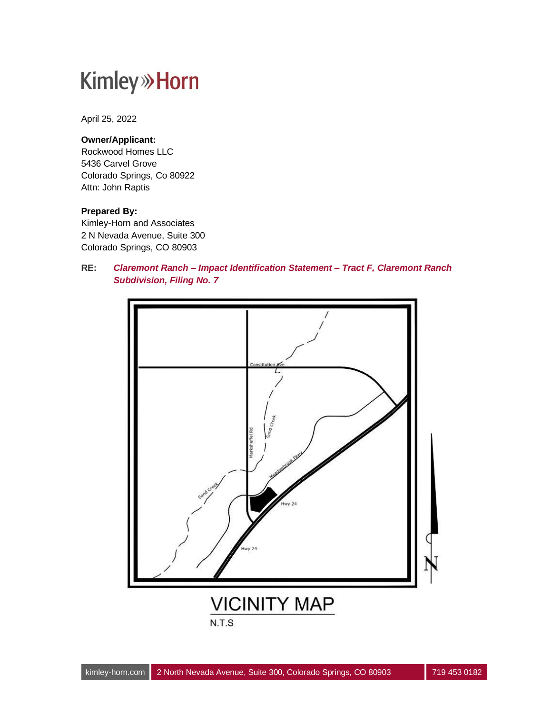April 25, 2022

#### **Owner/Applicant:**

Rockwood Homes LLC 5436 Carvel Grove Colorado Springs, Co 80922 Attn: John Raptis

#### **Prepared By:**

Kimley-Horn and Associates 2 N Nevada Avenue, Suite 300 Colorado Springs, CO 80903

**RE:** *Claremont Ranch – Impact Identification Statement – Tract F, Claremont Ranch Subdivision, Filing No. 7*

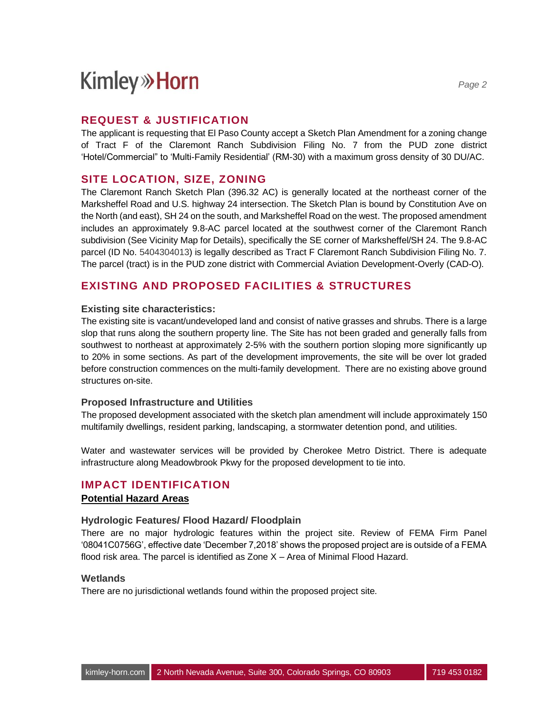### **REQUEST & JUSTIFICATION**

The applicant is requesting that El Paso County accept a Sketch Plan Amendment for a zoning change of Tract F of the Claremont Ranch Subdivision Filing No. 7 from the PUD zone district 'Hotel/Commercial" to 'Multi-Family Residential' (RM-30) with a maximum gross density of 30 DU/AC.

## **SITE LOCATION, SIZE, ZONING**

The Claremont Ranch Sketch Plan (396.32 AC) is generally located at the northeast corner of the Marksheffel Road and U.S. highway 24 intersection. The Sketch Plan is bound by Constitution Ave on the North (and east), SH 24 on the south, and Marksheffel Road on the west. The proposed amendment includes an approximately 9.8-AC parcel located at the southwest corner of the Claremont Ranch subdivision (See Vicinity Map for Details), specifically the SE corner of Marksheffel/SH 24. The 9.8-AC parcel (ID No. 5404304013) is legally described as Tract F Claremont Ranch Subdivision Filing No. 7. The parcel (tract) is in the PUD zone district with Commercial Aviation Development-Overly (CAD-O).

## **EXISTING AND PROPOSED FACILITIES & STRUCTURES**

#### **Existing site characteristics:**

The existing site is vacant/undeveloped land and consist of native grasses and shrubs. There is a large slop that runs along the southern property line. The Site has not been graded and generally falls from southwest to northeast at approximately 2-5% with the southern portion sloping more significantly up to 20% in some sections. As part of the development improvements, the site will be over lot graded before construction commences on the multi-family development. There are no existing above ground structures on-site.

#### **Proposed Infrastructure and Utilities**

The proposed development associated with the sketch plan amendment will include approximately 150 multifamily dwellings, resident parking, landscaping, a stormwater detention pond, and utilities.

Water and wastewater services will be provided by Cherokee Metro District. There is adequate infrastructure along Meadowbrook Pkwy for the proposed development to tie into.

#### **IMPACT IDENTIFICATION**

#### **Potential Hazard Areas**

#### **Hydrologic Features/ Flood Hazard/ Floodplain**

There are no major hydrologic features within the project site. Review of FEMA Firm Panel '08041C0756G', effective date 'December 7,2018' shows the proposed project are is outside of a FEMA flood risk area. The parcel is identified as Zone X – Area of Minimal Flood Hazard.

#### **Wetlands**

There are no jurisdictional wetlands found within the proposed project site.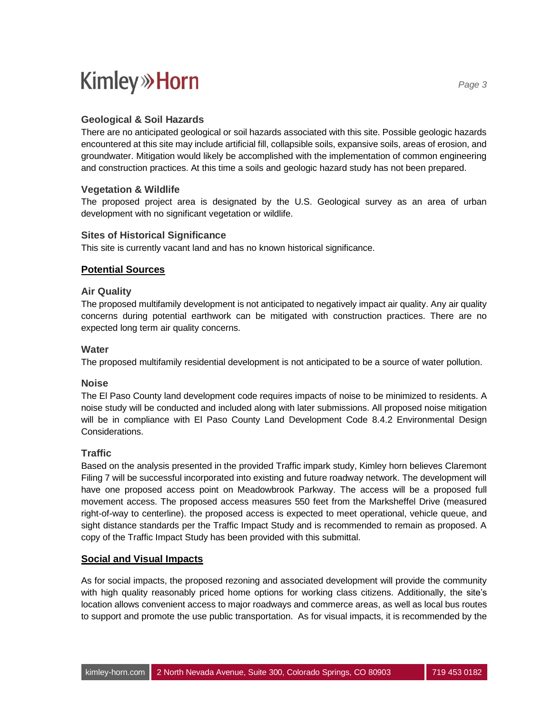### **Geological & Soil Hazards**

There are no anticipated geological or soil hazards associated with this site. Possible geologic hazards encountered at this site may include artificial fill, collapsible soils, expansive soils, areas of erosion, and groundwater. Mitigation would likely be accomplished with the implementation of common engineering and construction practices. At this time a soils and geologic hazard study has not been prepared.

#### **Vegetation & Wildlife**

The proposed project area is designated by the U.S. Geological survey as an area of urban development with no significant vegetation or wildlife.

#### **Sites of Historical Significance**

This site is currently vacant land and has no known historical significance.

#### **Potential Sources**

#### **Air Quality**

The proposed multifamily development is not anticipated to negatively impact air quality. Any air quality concerns during potential earthwork can be mitigated with construction practices. There are no expected long term air quality concerns.

#### **Water**

The proposed multifamily residential development is not anticipated to be a source of water pollution.

#### **Noise**

The El Paso County land development code requires impacts of noise to be minimized to residents. A noise study will be conducted and included along with later submissions. All proposed noise mitigation will be in compliance with El Paso County Land Development Code 8.4.2 Environmental Design Considerations.

#### **Traffic**

Based on the analysis presented in the provided Traffic impark study, Kimley horn believes Claremont Filing 7 will be successful incorporated into existing and future roadway network. The development will have one proposed access point on Meadowbrook Parkway. The access will be a proposed full movement access. The proposed access measures 550 feet from the Marksheffel Drive (measured right-of-way to centerline). the proposed access is expected to meet operational, vehicle queue, and sight distance standards per the Traffic Impact Study and is recommended to remain as proposed. A copy of the Traffic Impact Study has been provided with this submittal.

#### **Social and Visual Impacts**

As for social impacts, the proposed rezoning and associated development will provide the community with high quality reasonably priced home options for working class citizens. Additionally, the site's location allows convenient access to major roadways and commerce areas, as well as local bus routes to support and promote the use public transportation. As for visual impacts, it is recommended by the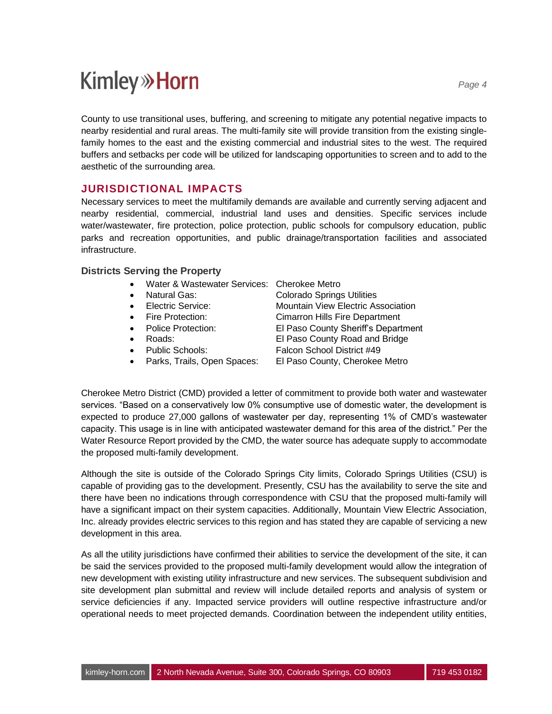County to use transitional uses, buffering, and screening to mitigate any potential negative impacts to nearby residential and rural areas. The multi-family site will provide transition from the existing singlefamily homes to the east and the existing commercial and industrial sites to the west. The required buffers and setbacks per code will be utilized for landscaping opportunities to screen and to add to the aesthetic of the surrounding area.

## **JURISDICTIONAL IMPACTS**

Necessary services to meet the multifamily demands are available and currently serving adjacent and nearby residential, commercial, industrial land uses and densities. Specific services include water/wastewater, fire protection, police protection, public schools for compulsory education, public parks and recreation opportunities, and public drainage/transportation facilities and associated infrastructure.

#### **Districts Serving the Property**

- Water & Wastewater Services: Cherokee Metro
- 
- 
- 
- 
- 
- 
- 

• Natural Gas: Colorado Springs Utilities • Electric Service: Mountain View Electric Association • Fire Protection: Cimarron Hills Fire Department • Police Protection: El Paso County Sheriff's Department • Roads: El Paso County Road and Bridge • Public Schools: Falcon School District #49

• Parks, Trails, Open Spaces: El Paso County, Cherokee Metro

Cherokee Metro District (CMD) provided a letter of commitment to provide both water and wastewater services. "Based on a conservatively low 0% consumptive use of domestic water, the development is expected to produce 27,000 gallons of wastewater per day, representing 1% of CMD's wastewater capacity. This usage is in line with anticipated wastewater demand for this area of the district." Per the Water Resource Report provided by the CMD, the water source has adequate supply to accommodate the proposed multi-family development.

Although the site is outside of the Colorado Springs City limits, Colorado Springs Utilities (CSU) is capable of providing gas to the development. Presently, CSU has the availability to serve the site and there have been no indications through correspondence with CSU that the proposed multi-family will have a significant impact on their system capacities. Additionally, Mountain View Electric Association, Inc. already provides electric services to this region and has stated they are capable of servicing a new development in this area.

As all the utility jurisdictions have confirmed their abilities to service the development of the site, it can be said the services provided to the proposed multi-family development would allow the integration of new development with existing utility infrastructure and new services. The subsequent subdivision and site development plan submittal and review will include detailed reports and analysis of system or service deficiencies if any. Impacted service providers will outline respective infrastructure and/or operational needs to meet projected demands. Coordination between the independent utility entities,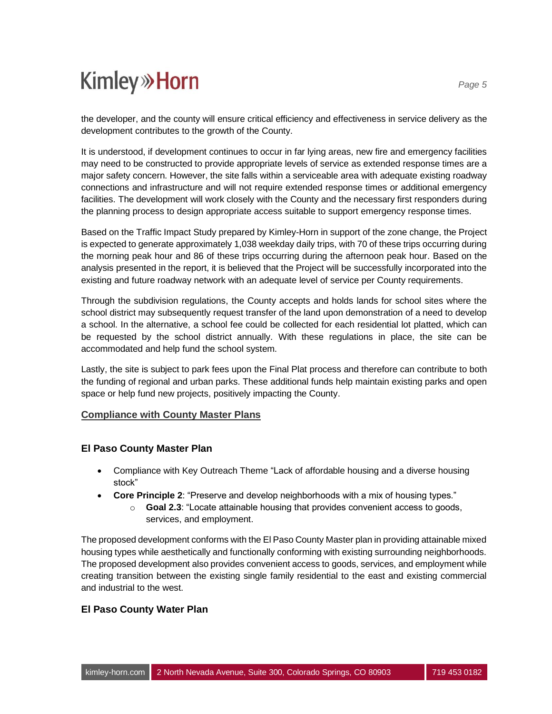the developer, and the county will ensure critical efficiency and effectiveness in service delivery as the development contributes to the growth of the County.

It is understood, if development continues to occur in far lying areas, new fire and emergency facilities may need to be constructed to provide appropriate levels of service as extended response times are a major safety concern. However, the site falls within a serviceable area with adequate existing roadway connections and infrastructure and will not require extended response times or additional emergency facilities. The development will work closely with the County and the necessary first responders during the planning process to design appropriate access suitable to support emergency response times.

Based on the Traffic Impact Study prepared by Kimley-Horn in support of the zone change, the Project is expected to generate approximately 1,038 weekday daily trips, with 70 of these trips occurring during the morning peak hour and 86 of these trips occurring during the afternoon peak hour. Based on the analysis presented in the report, it is believed that the Project will be successfully incorporated into the existing and future roadway network with an adequate level of service per County requirements.

Through the subdivision regulations, the County accepts and holds lands for school sites where the school district may subsequently request transfer of the land upon demonstration of a need to develop a school. In the alternative, a school fee could be collected for each residential lot platted, which can be requested by the school district annually. With these regulations in place, the site can be accommodated and help fund the school system.

Lastly, the site is subject to park fees upon the Final Plat process and therefore can contribute to both the funding of regional and urban parks. These additional funds help maintain existing parks and open space or help fund new projects, positively impacting the County.

#### **Compliance with County Master Plans**

#### **El Paso County Master Plan**

- Compliance with Key Outreach Theme "Lack of affordable housing and a diverse housing stock"
- **Core Principle 2**: "Preserve and develop neighborhoods with a mix of housing types."
	- o **Goal 2.3**: "Locate attainable housing that provides convenient access to goods, services, and employment.

The proposed development conforms with the El Paso County Master plan in providing attainable mixed housing types while aesthetically and functionally conforming with existing surrounding neighborhoods. The proposed development also provides convenient access to goods, services, and employment while creating transition between the existing single family residential to the east and existing commercial and industrial to the west.

#### **El Paso County Water Plan**